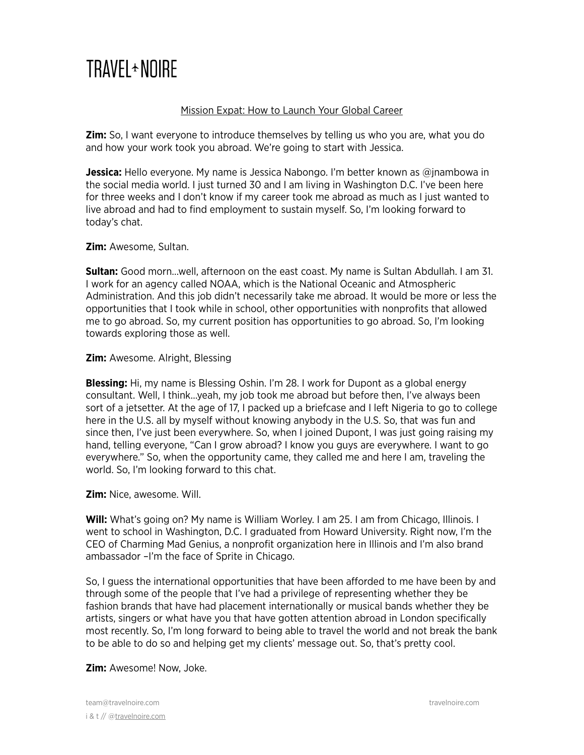# TRAVFI + NOIRF

# Mission Expat: How to Launch Your Global Career

**Zim:** So, I want everyone to introduce themselves by telling us who you are, what you do and how your work took you abroad. We're going to start with Jessica.

**Jessica:** Hello everyone. My name is Jessica Nabongo. I'm better known as @jnambowa in the social media world. I just turned 30 and I am living in Washington D.C. I've been here for three weeks and I don't know if my career took me abroad as much as I just wanted to live abroad and had to find employment to sustain myself. So, I'm looking forward to today's chat.

# **Zim:** Awesome, Sultan.

**Sultan:** Good morn…well, afternoon on the east coast. My name is Sultan Abdullah. I am 31. I work for an agency called NOAA, which is the National Oceanic and Atmospheric Administration. And this job didn't necessarily take me abroad. It would be more or less the opportunities that I took while in school, other opportunities with nonprofits that allowed me to go abroad. So, my current position has opportunities to go abroad. So, I'm looking towards exploring those as well.

# **Zim:** Awesome. Alright, Blessing

**Blessing:** Hi, my name is Blessing Oshin. I'm 28. I work for Dupont as a global energy consultant. Well, I think…yeah, my job took me abroad but before then, I've always been sort of a jetsetter. At the age of 17, I packed up a briefcase and I left Nigeria to go to college here in the U.S. all by myself without knowing anybody in the U.S. So, that was fun and since then, I've just been everywhere. So, when I joined Dupont, I was just going raising my hand, telling everyone, "Can I grow abroad? I know you guys are everywhere. I want to go everywhere." So, when the opportunity came, they called me and here I am, traveling the world. So, I'm looking forward to this chat.

**Zim:** Nice, awesome. Will.

**Will:** What's going on? My name is William Worley. I am 25. I am from Chicago, Illinois. I went to school in Washington, D.C. I graduated from Howard University. Right now, I'm the CEO of Charming Mad Genius, a nonprofit organization here in Illinois and I'm also brand ambassador –I'm the face of Sprite in Chicago.

So, I guess the international opportunities that have been afforded to me have been by and through some of the people that I've had a privilege of representing whether they be fashion brands that have had placement internationally or musical bands whether they be artists, singers or what have you that have gotten attention abroad in London specifically most recently. So, I'm long forward to being able to travel the world and not break the bank to be able to do so and helping get my clients' message out. So, that's pretty cool.

**Zim:** Awesome! Now, Joke.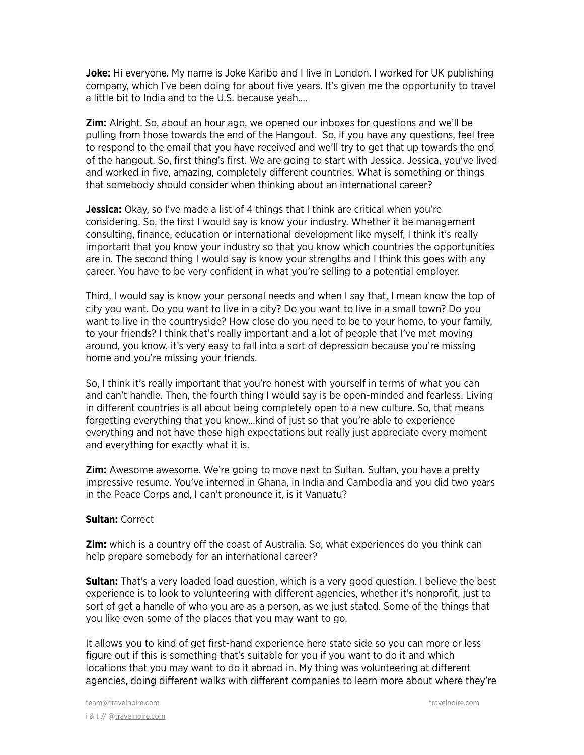**Joke:** Hi everyone. My name is Joke Karibo and I live in London. I worked for UK publishing company, which I've been doing for about five years. It's given me the opportunity to travel a little bit to India and to the U.S. because yeah….

**Zim:** Alright. So, about an hour ago, we opened our inboxes for questions and we'll be pulling from those towards the end of the Hangout. So, if you have any questions, feel free to respond to the email that you have received and we'll try to get that up towards the end of the hangout. So, first thing's first. We are going to start with Jessica. Jessica, you've lived and worked in five, amazing, completely different countries. What is something or things that somebody should consider when thinking about an international career?

**Jessica:** Okay, so I've made a list of 4 things that I think are critical when you're considering. So, the first I would say is know your industry. Whether it be management consulting, finance, education or international development like myself, I think it's really important that you know your industry so that you know which countries the opportunities are in. The second thing I would say is know your strengths and I think this goes with any career. You have to be very confident in what you're selling to a potential employer.

Third, I would say is know your personal needs and when I say that, I mean know the top of city you want. Do you want to live in a city? Do you want to live in a small town? Do you want to live in the countryside? How close do you need to be to your home, to your family, to your friends? I think that's really important and a lot of people that I've met moving around, you know, it's very easy to fall into a sort of depression because you're missing home and you're missing your friends.

So, I think it's really important that you're honest with yourself in terms of what you can and can't handle. Then, the fourth thing I would say is be open-minded and fearless. Living in different countries is all about being completely open to a new culture. So, that means forgetting everything that you know…kind of just so that you're able to experience everything and not have these high expectations but really just appreciate every moment and everything for exactly what it is.

**Zim:** Awesome awesome. We're going to move next to Sultan. Sultan, you have a pretty impressive resume. You've interned in Ghana, in India and Cambodia and you did two years in the Peace Corps and, I can't pronounce it, is it Vanuatu?

#### **Sultan:** Correct

**Zim:** which is a country off the coast of Australia. So, what experiences do you think can help prepare somebody for an international career?

**Sultan:** That's a very loaded load question, which is a very good question. I believe the best experience is to look to volunteering with different agencies, whether it's nonprofit, just to sort of get a handle of who you are as a person, as we just stated. Some of the things that you like even some of the places that you may want to go.

It allows you to kind of get first-hand experience here state side so you can more or less figure out if this is something that's suitable for you if you want to do it and which locations that you may want to do it abroad in. My thing was volunteering at different agencies, doing different walks with different companies to learn more about where they're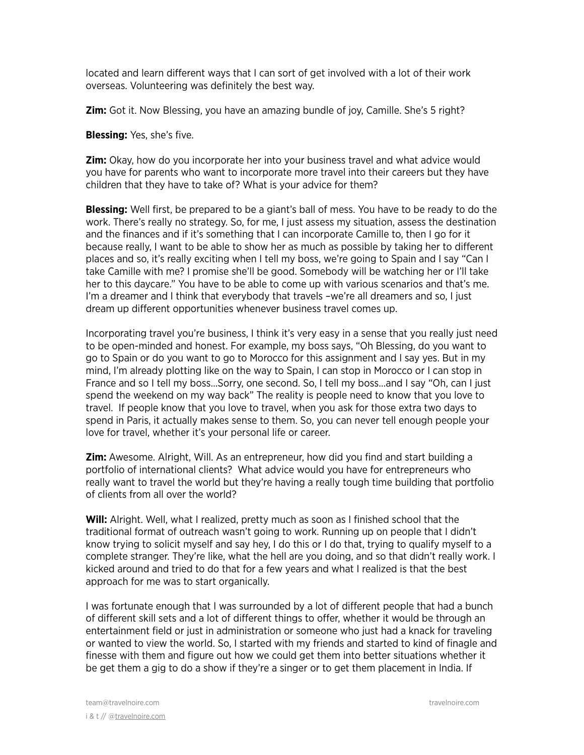located and learn different ways that I can sort of get involved with a lot of their work overseas. Volunteering was definitely the best way.

**Zim:** Got it. Now Blessing, you have an amazing bundle of joy, Camille. She's 5 right?

**Blessing:** Yes, she's five.

**Zim:** Okay, how do you incorporate her into your business travel and what advice would you have for parents who want to incorporate more travel into their careers but they have children that they have to take of? What is your advice for them?

**Blessing:** Well first, be prepared to be a giant's ball of mess. You have to be ready to do the work. There's really no strategy. So, for me, I just assess my situation, assess the destination and the finances and if it's something that I can incorporate Camille to, then I go for it because really, I want to be able to show her as much as possible by taking her to different places and so, it's really exciting when I tell my boss, we're going to Spain and I say "Can I take Camille with me? I promise she'll be good. Somebody will be watching her or I'll take her to this daycare." You have to be able to come up with various scenarios and that's me. I'm a dreamer and I think that everybody that travels –we're all dreamers and so, I just dream up different opportunities whenever business travel comes up.

Incorporating travel you're business, I think it's very easy in a sense that you really just need to be open-minded and honest. For example, my boss says, "Oh Blessing, do you want to go to Spain or do you want to go to Morocco for this assignment and I say yes. But in my mind, I'm already plotting like on the way to Spain, I can stop in Morocco or I can stop in France and so I tell my boss…Sorry, one second. So, I tell my boss…and I say "Oh, can I just spend the weekend on my way back" The reality is people need to know that you love to travel. If people know that you love to travel, when you ask for those extra two days to spend in Paris, it actually makes sense to them. So, you can never tell enough people your love for travel, whether it's your personal life or career.

**Zim:** Awesome. Alright, Will. As an entrepreneur, how did you find and start building a portfolio of international clients? What advice would you have for entrepreneurs who really want to travel the world but they're having a really tough time building that portfolio of clients from all over the world?

**Will:** Alright. Well, what I realized, pretty much as soon as I finished school that the traditional format of outreach wasn't going to work. Running up on people that I didn't know trying to solicit myself and say hey, I do this or I do that, trying to qualify myself to a complete stranger. They're like, what the hell are you doing, and so that didn't really work. I kicked around and tried to do that for a few years and what I realized is that the best approach for me was to start organically.

I was fortunate enough that I was surrounded by a lot of different people that had a bunch of different skill sets and a lot of different things to offer, whether it would be through an entertainment field or just in administration or someone who just had a knack for traveling or wanted to view the world. So, I started with my friends and started to kind of finagle and finesse with them and figure out how we could get them into better situations whether it be get them a gig to do a show if they're a singer or to get them placement in India. If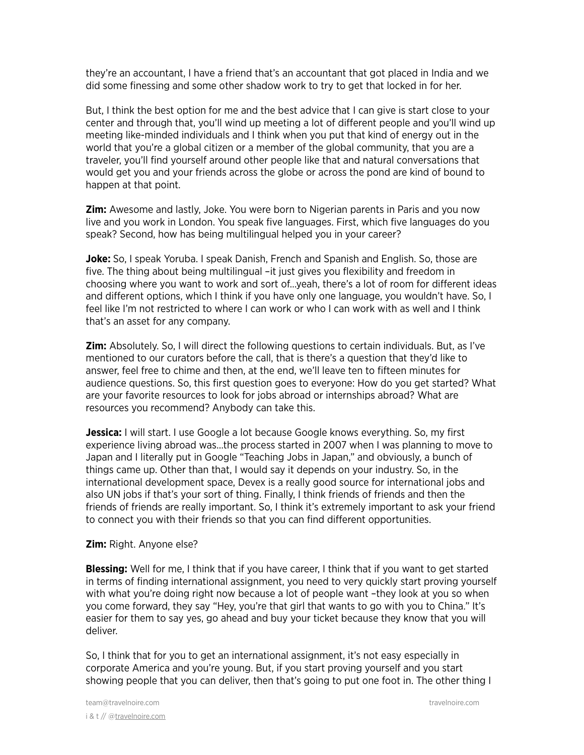they're an accountant, I have a friend that's an accountant that got placed in India and we did some finessing and some other shadow work to try to get that locked in for her.

But, I think the best option for me and the best advice that I can give is start close to your center and through that, you'll wind up meeting a lot of different people and you'll wind up meeting like-minded individuals and I think when you put that kind of energy out in the world that you're a global citizen or a member of the global community, that you are a traveler, you'll find yourself around other people like that and natural conversations that would get you and your friends across the globe or across the pond are kind of bound to happen at that point.

**Zim:** Awesome and lastly, Joke. You were born to Nigerian parents in Paris and you now live and you work in London. You speak five languages. First, which five languages do you speak? Second, how has being multilingual helped you in your career?

**Joke:** So, I speak Yoruba. I speak Danish, French and Spanish and English. So, those are five. The thing about being multilingual –it just gives you flexibility and freedom in choosing where you want to work and sort of…yeah, there's a lot of room for different ideas and different options, which I think if you have only one language, you wouldn't have. So, I feel like I'm not restricted to where I can work or who I can work with as well and I think that's an asset for any company.

**Zim:** Absolutely. So, I will direct the following questions to certain individuals. But, as I've mentioned to our curators before the call, that is there's a question that they'd like to answer, feel free to chime and then, at the end, we'll leave ten to fifteen minutes for audience questions. So, this first question goes to everyone: How do you get started? What are your favorite resources to look for jobs abroad or internships abroad? What are resources you recommend? Anybody can take this.

**Jessica:** I will start. I use Google a lot because Google knows everything. So, my first experience living abroad was…the process started in 2007 when I was planning to move to Japan and I literally put in Google "Teaching Jobs in Japan," and obviously, a bunch of things came up. Other than that, I would say it depends on your industry. So, in the international development space, Devex is a really good source for international jobs and also UN jobs if that's your sort of thing. Finally, I think friends of friends and then the friends of friends are really important. So, I think it's extremely important to ask your friend to connect you with their friends so that you can find different opportunities.

#### **Zim:** Right. Anyone else?

**Blessing:** Well for me, I think that if you have career, I think that if you want to get started in terms of finding international assignment, you need to very quickly start proving yourself with what you're doing right now because a lot of people want –they look at you so when you come forward, they say "Hey, you're that girl that wants to go with you to China." It's easier for them to say yes, go ahead and buy your ticket because they know that you will deliver.

So, I think that for you to get an international assignment, it's not easy especially in corporate America and you're young. But, if you start proving yourself and you start showing people that you can deliver, then that's going to put one foot in. The other thing I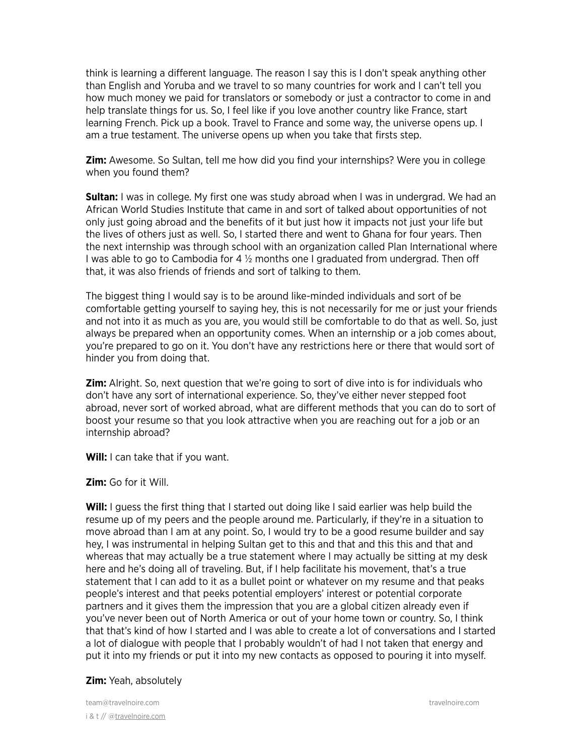think is learning a different language. The reason I say this is I don't speak anything other than English and Yoruba and we travel to so many countries for work and I can't tell you how much money we paid for translators or somebody or just a contractor to come in and help translate things for us. So, I feel like if you love another country like France, start learning French. Pick up a book. Travel to France and some way, the universe opens up. I am a true testament. The universe opens up when you take that firsts step.

**Zim:** Awesome. So Sultan, tell me how did you find your internships? Were you in college when you found them?

**Sultan:** I was in college. My first one was study abroad when I was in undergrad. We had an African World Studies Institute that came in and sort of talked about opportunities of not only just going abroad and the benefits of it but just how it impacts not just your life but the lives of others just as well. So, I started there and went to Ghana for four years. Then the next internship was through school with an organization called Plan International where I was able to go to Cambodia for 4  $\frac{1}{2}$  months one I graduated from undergrad. Then off that, it was also friends of friends and sort of talking to them.

The biggest thing I would say is to be around like-minded individuals and sort of be comfortable getting yourself to saying hey, this is not necessarily for me or just your friends and not into it as much as you are, you would still be comfortable to do that as well. So, just always be prepared when an opportunity comes. When an internship or a job comes about, you're prepared to go on it. You don't have any restrictions here or there that would sort of hinder you from doing that.

**Zim:** Alright. So, next question that we're going to sort of dive into is for individuals who don't have any sort of international experience. So, they've either never stepped foot abroad, never sort of worked abroad, what are different methods that you can do to sort of boost your resume so that you look attractive when you are reaching out for a job or an internship abroad?

**Will:** I can take that if you want.

**Zim:** Go for it Will.

**Will:** I guess the first thing that I started out doing like I said earlier was help build the resume up of my peers and the people around me. Particularly, if they're in a situation to move abroad than I am at any point. So, I would try to be a good resume builder and say hey, I was instrumental in helping Sultan get to this and that and this this and that and whereas that may actually be a true statement where I may actually be sitting at my desk here and he's doing all of traveling. But, if I help facilitate his movement, that's a true statement that I can add to it as a bullet point or whatever on my resume and that peaks people's interest and that peeks potential employers' interest or potential corporate partners and it gives them the impression that you are a global citizen already even if you've never been out of North America or out of your home town or country. So, I think that that's kind of how I started and I was able to create a lot of conversations and I started a lot of dialogue with people that I probably wouldn't of had I not taken that energy and put it into my friends or put it into my new contacts as opposed to pouring it into myself.

#### **Zim:** Yeah, absolutely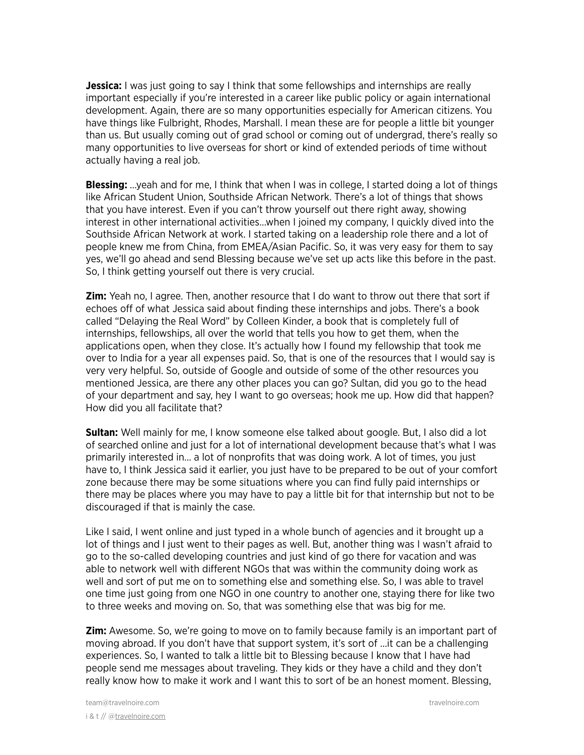**Jessica:** I was just going to say I think that some fellowships and internships are really important especially if you're interested in a career like public policy or again international development. Again, there are so many opportunities especially for American citizens. You have things like Fulbright, Rhodes, Marshall. I mean these are for people a little bit younger than us. But usually coming out of grad school or coming out of undergrad, there's really so many opportunities to live overseas for short or kind of extended periods of time without actually having a real job.

**Blessing:** …yeah and for me, I think that when I was in college, I started doing a lot of things like African Student Union, Southside African Network. There's a lot of things that shows that you have interest. Even if you can't throw yourself out there right away, showing interest in other international activities…when I joined my company, I quickly dived into the Southside African Network at work. I started taking on a leadership role there and a lot of people knew me from China, from EMEA/Asian Pacific. So, it was very easy for them to say yes, we'll go ahead and send Blessing because we've set up acts like this before in the past. So, I think getting yourself out there is very crucial.

**Zim:** Yeah no, I agree. Then, another resource that I do want to throw out there that sort if echoes off of what Jessica said about finding these internships and jobs. There's a book called "Delaying the Real Word" by Colleen Kinder, a book that is completely full of internships, fellowships, all over the world that tells you how to get them, when the applications open, when they close. It's actually how I found my fellowship that took me over to India for a year all expenses paid. So, that is one of the resources that I would say is very very helpful. So, outside of Google and outside of some of the other resources you mentioned Jessica, are there any other places you can go? Sultan, did you go to the head of your department and say, hey I want to go overseas; hook me up. How did that happen? How did you all facilitate that?

**Sultan:** Well mainly for me, I know someone else talked about google. But, I also did a lot of searched online and just for a lot of international development because that's what I was primarily interested in… a lot of nonprofits that was doing work. A lot of times, you just have to, I think Jessica said it earlier, you just have to be prepared to be out of your comfort zone because there may be some situations where you can find fully paid internships or there may be places where you may have to pay a little bit for that internship but not to be discouraged if that is mainly the case.

Like I said, I went online and just typed in a whole bunch of agencies and it brought up a lot of things and I just went to their pages as well. But, another thing was I wasn't afraid to go to the so-called developing countries and just kind of go there for vacation and was able to network well with different NGOs that was within the community doing work as well and sort of put me on to something else and something else. So, I was able to travel one time just going from one NGO in one country to another one, staying there for like two to three weeks and moving on. So, that was something else that was big for me.

**Zim:** Awesome. So, we're going to move on to family because family is an important part of moving abroad. If you don't have that support system, it's sort of …it can be a challenging experiences. So, I wanted to talk a little bit to Blessing because I know that I have had people send me messages about traveling. They kids or they have a child and they don't really know how to make it work and I want this to sort of be an honest moment. Blessing,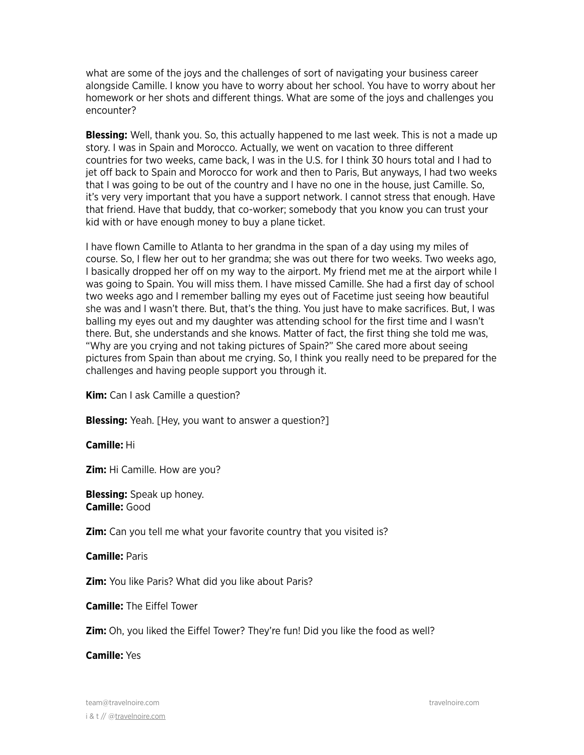what are some of the joys and the challenges of sort of navigating your business career alongside Camille. I know you have to worry about her school. You have to worry about her homework or her shots and different things. What are some of the joys and challenges you encounter?

**Blessing:** Well, thank you. So, this actually happened to me last week. This is not a made up story. I was in Spain and Morocco. Actually, we went on vacation to three different countries for two weeks, came back, I was in the U.S. for I think 30 hours total and I had to jet off back to Spain and Morocco for work and then to Paris, But anyways, I had two weeks that I was going to be out of the country and I have no one in the house, just Camille. So, it's very very important that you have a support network. I cannot stress that enough. Have that friend. Have that buddy, that co-worker; somebody that you know you can trust your kid with or have enough money to buy a plane ticket.

I have flown Camille to Atlanta to her grandma in the span of a day using my miles of course. So, I flew her out to her grandma; she was out there for two weeks. Two weeks ago, I basically dropped her off on my way to the airport. My friend met me at the airport while I was going to Spain. You will miss them. I have missed Camille. She had a first day of school two weeks ago and I remember balling my eyes out of Facetime just seeing how beautiful she was and I wasn't there. But, that's the thing. You just have to make sacrifices. But, I was balling my eyes out and my daughter was attending school for the first time and I wasn't there. But, she understands and she knows. Matter of fact, the first thing she told me was, "Why are you crying and not taking pictures of Spain?" She cared more about seeing pictures from Spain than about me crying. So, I think you really need to be prepared for the challenges and having people support you through it.

**Kim:** Can I ask Camille a question?

**Blessing:** Yeah. [Hey, you want to answer a question?]

**Camille:** Hi

**Zim:** Hi Camille. How are you?

**Blessing:** Speak up honey. **Camille:** Good

**Zim:** Can you tell me what your favorite country that you visited is?

**Camille:** Paris

**Zim:** You like Paris? What did you like about Paris?

**Camille:** The Eiffel Tower

**Zim:** Oh, you liked the Eiffel Tower? They're fun! Did you like the food as well?

**Camille:** Yes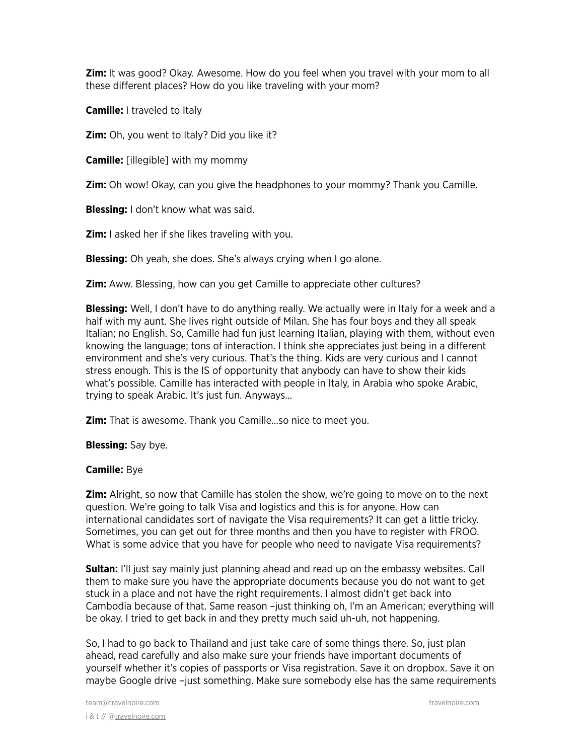**Zim:** It was good? Okay. Awesome. How do you feel when you travel with your mom to all these different places? How do you like traveling with your mom?

**Camille:** I traveled to Italy

**Zim:** Oh, you went to Italy? Did you like it?

**Camille:** [illegible] with my mommy

**Zim:** Oh wow! Okay, can you give the headphones to your mommy? Thank you Camille.

**Blessing:** I don't know what was said.

**Zim:** I asked her if she likes traveling with you.

**Blessing:** Oh yeah, she does. She's always crying when I go alone.

**Zim:** Aww. Blessing, how can you get Camille to appreciate other cultures?

**Blessing:** Well, I don't have to do anything really. We actually were in Italy for a week and a half with my aunt. She lives right outside of Milan. She has four boys and they all speak Italian; no English. So, Camille had fun just learning Italian, playing with them, without even knowing the language; tons of interaction. I think she appreciates just being in a different environment and she's very curious. That's the thing. Kids are very curious and I cannot stress enough. This is the IS of opportunity that anybody can have to show their kids what's possible. Camille has interacted with people in Italy, in Arabia who spoke Arabic, trying to speak Arabic. It's just fun. Anyways…

**Zim:** That is awesome. Thank you Camille…so nice to meet you.

**Blessing:** Say bye.

# **Camille:** Bye

**Zim:** Alright, so now that Camille has stolen the show, we're going to move on to the next question. We're going to talk Visa and logistics and this is for anyone. How can international candidates sort of navigate the Visa requirements? It can get a little tricky. Sometimes, you can get out for three months and then you have to register with FROO. What is some advice that you have for people who need to navigate Visa requirements?

**Sultan:** I'll just say mainly just planning ahead and read up on the embassy websites. Call them to make sure you have the appropriate documents because you do not want to get stuck in a place and not have the right requirements. I almost didn't get back into Cambodia because of that. Same reason –just thinking oh, I'm an American; everything will be okay. I tried to get back in and they pretty much said uh-uh, not happening.

So, I had to go back to Thailand and just take care of some things there. So, just plan ahead, read carefully and also make sure your friends have important documents of yourself whether it's copies of passports or Visa registration. Save it on dropbox. Save it on maybe Google drive –just something. Make sure somebody else has the same requirements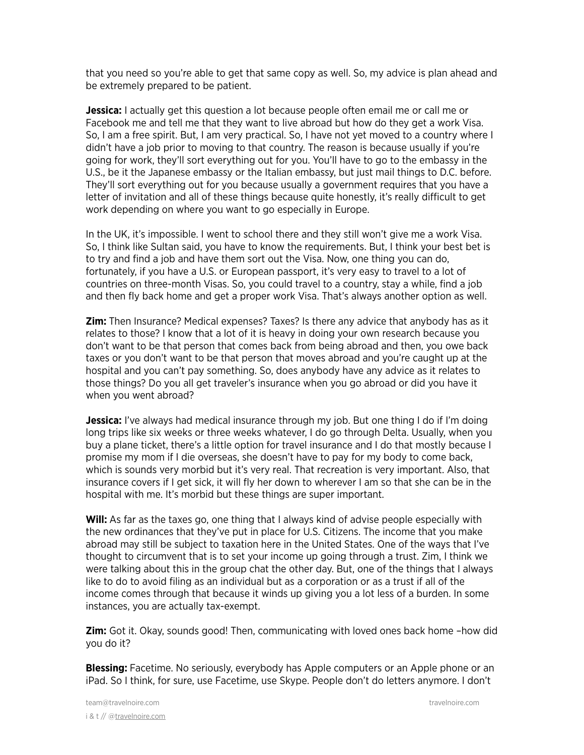that you need so you're able to get that same copy as well. So, my advice is plan ahead and be extremely prepared to be patient.

**Jessica:** I actually get this question a lot because people often email me or call me or Facebook me and tell me that they want to live abroad but how do they get a work Visa. So, I am a free spirit. But, I am very practical. So, I have not yet moved to a country where I didn't have a job prior to moving to that country. The reason is because usually if you're going for work, they'll sort everything out for you. You'll have to go to the embassy in the U.S., be it the Japanese embassy or the Italian embassy, but just mail things to D.C. before. They'll sort everything out for you because usually a government requires that you have a letter of invitation and all of these things because quite honestly, it's really difficult to get work depending on where you want to go especially in Europe.

In the UK, it's impossible. I went to school there and they still won't give me a work Visa. So, I think like Sultan said, you have to know the requirements. But, I think your best bet is to try and find a job and have them sort out the Visa. Now, one thing you can do, fortunately, if you have a U.S. or European passport, it's very easy to travel to a lot of countries on three-month Visas. So, you could travel to a country, stay a while, find a job and then fly back home and get a proper work Visa. That's always another option as well.

**Zim:** Then Insurance? Medical expenses? Taxes? Is there any advice that anybody has as it relates to those? I know that a lot of it is heavy in doing your own research because you don't want to be that person that comes back from being abroad and then, you owe back taxes or you don't want to be that person that moves abroad and you're caught up at the hospital and you can't pay something. So, does anybody have any advice as it relates to those things? Do you all get traveler's insurance when you go abroad or did you have it when you went abroad?

**Jessica:** I've always had medical insurance through my job. But one thing I do if I'm doing long trips like six weeks or three weeks whatever, I do go through Delta. Usually, when you buy a plane ticket, there's a little option for travel insurance and I do that mostly because I promise my mom if I die overseas, she doesn't have to pay for my body to come back, which is sounds very morbid but it's very real. That recreation is very important. Also, that insurance covers if I get sick, it will fly her down to wherever I am so that she can be in the hospital with me. It's morbid but these things are super important.

Will: As far as the taxes go, one thing that I always kind of advise people especially with the new ordinances that they've put in place for U.S. Citizens. The income that you make abroad may still be subject to taxation here in the United States. One of the ways that I've thought to circumvent that is to set your income up going through a trust. Zim, I think we were talking about this in the group chat the other day. But, one of the things that I always like to do to avoid filing as an individual but as a corporation or as a trust if all of the income comes through that because it winds up giving you a lot less of a burden. In some instances, you are actually tax-exempt.

**Zim:** Got it. Okay, sounds good! Then, communicating with loved ones back home –how did you do it?

**Blessing:** Facetime. No seriously, everybody has Apple computers or an Apple phone or an iPad. So I think, for sure, use Facetime, use Skype. People don't do letters anymore. I don't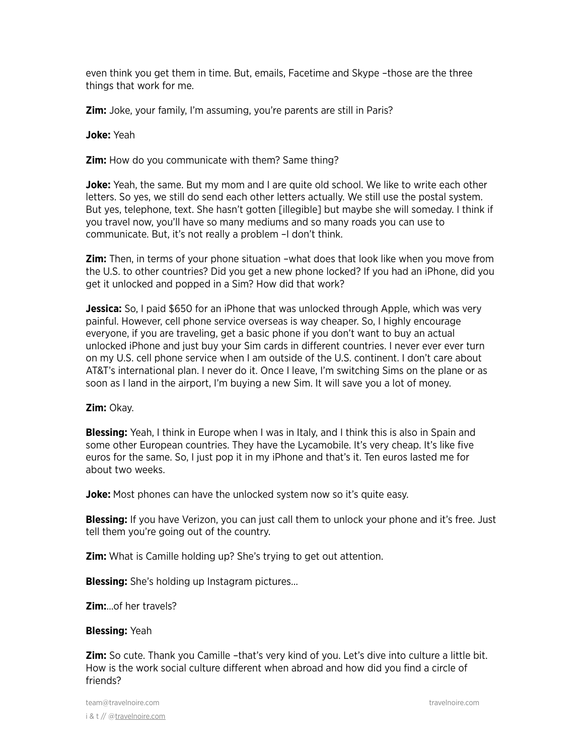even think you get them in time. But, emails, Facetime and Skype –those are the three things that work for me.

**Zim:** Joke, your family, I'm assuming, you're parents are still in Paris?

**Joke:** Yeah

**Zim:** How do you communicate with them? Same thing?

**Joke:** Yeah, the same. But my mom and I are quite old school. We like to write each other letters. So yes, we still do send each other letters actually. We still use the postal system. But yes, telephone, text. She hasn't gotten [illegible] but maybe she will someday. I think if you travel now, you'll have so many mediums and so many roads you can use to communicate. But, it's not really a problem –I don't think.

**Zim:** Then, in terms of your phone situation –what does that look like when you move from the U.S. to other countries? Did you get a new phone locked? If you had an iPhone, did you get it unlocked and popped in a Sim? How did that work?

**Jessica:** So, I paid \$650 for an iPhone that was unlocked through Apple, which was very painful. However, cell phone service overseas is way cheaper. So, I highly encourage everyone, if you are traveling, get a basic phone if you don't want to buy an actual unlocked iPhone and just buy your Sim cards in different countries. I never ever ever turn on my U.S. cell phone service when I am outside of the U.S. continent. I don't care about AT&T's international plan. I never do it. Once I leave, I'm switching Sims on the plane or as soon as I land in the airport, I'm buying a new Sim. It will save you a lot of money.

#### **Zim:** Okay.

**Blessing:** Yeah, I think in Europe when I was in Italy, and I think this is also in Spain and some other European countries. They have the Lycamobile. It's very cheap. It's like five euros for the same. So, I just pop it in my iPhone and that's it. Ten euros lasted me for about two weeks.

**Joke:** Most phones can have the unlocked system now so it's quite easy.

**Blessing:** If you have Verizon, you can just call them to unlock your phone and it's free. Just tell them you're going out of the country.

**Zim:** What is Camille holding up? She's trying to get out attention.

**Blessing:** She's holding up Instagram pictures…

**Zim:**…of her travels?

#### **Blessing:** Yeah

**Zim:** So cute. Thank you Camille –that's very kind of you. Let's dive into culture a little bit. How is the work social culture different when abroad and how did you find a circle of friends?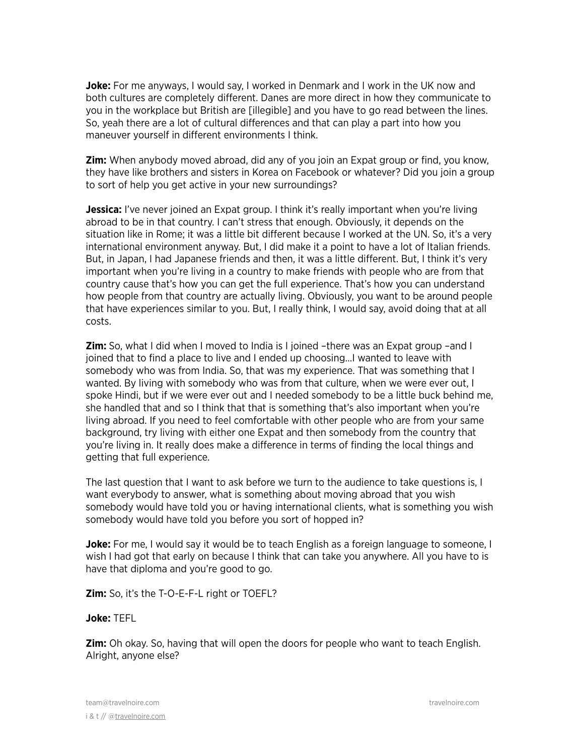**Joke:** For me anyways, I would say, I worked in Denmark and I work in the UK now and both cultures are completely different. Danes are more direct in how they communicate to you in the workplace but British are [illegible] and you have to go read between the lines. So, yeah there are a lot of cultural differences and that can play a part into how you maneuver yourself in different environments I think.

**Zim:** When anybody moved abroad, did any of you join an Expat group or find, you know, they have like brothers and sisters in Korea on Facebook or whatever? Did you join a group to sort of help you get active in your new surroundings?

Jessica: I've never joined an Expat group. I think it's really important when you're living abroad to be in that country. I can't stress that enough. Obviously, it depends on the situation like in Rome; it was a little bit different because I worked at the UN. So, it's a very international environment anyway. But, I did make it a point to have a lot of Italian friends. But, in Japan, I had Japanese friends and then, it was a little different. But, I think it's very important when you're living in a country to make friends with people who are from that country cause that's how you can get the full experience. That's how you can understand how people from that country are actually living. Obviously, you want to be around people that have experiences similar to you. But, I really think, I would say, avoid doing that at all costs.

**Zim:** So, what I did when I moved to India is I joined –there was an Expat group –and I joined that to find a place to live and I ended up choosing…I wanted to leave with somebody who was from India. So, that was my experience. That was something that I wanted. By living with somebody who was from that culture, when we were ever out, I spoke Hindi, but if we were ever out and I needed somebody to be a little buck behind me, she handled that and so I think that that is something that's also important when you're living abroad. If you need to feel comfortable with other people who are from your same background, try living with either one Expat and then somebody from the country that you're living in. It really does make a difference in terms of finding the local things and getting that full experience.

The last question that I want to ask before we turn to the audience to take questions is, I want everybody to answer, what is something about moving abroad that you wish somebody would have told you or having international clients, what is something you wish somebody would have told you before you sort of hopped in?

**Joke:** For me, I would say it would be to teach English as a foreign language to someone, I wish I had got that early on because I think that can take you anywhere. All you have to is have that diploma and you're good to go.

**Zim:** So, it's the T-O-E-F-L right or TOEFL?

#### **Joke:** TEFL

**Zim:** Oh okay. So, having that will open the doors for people who want to teach English. Alright, anyone else?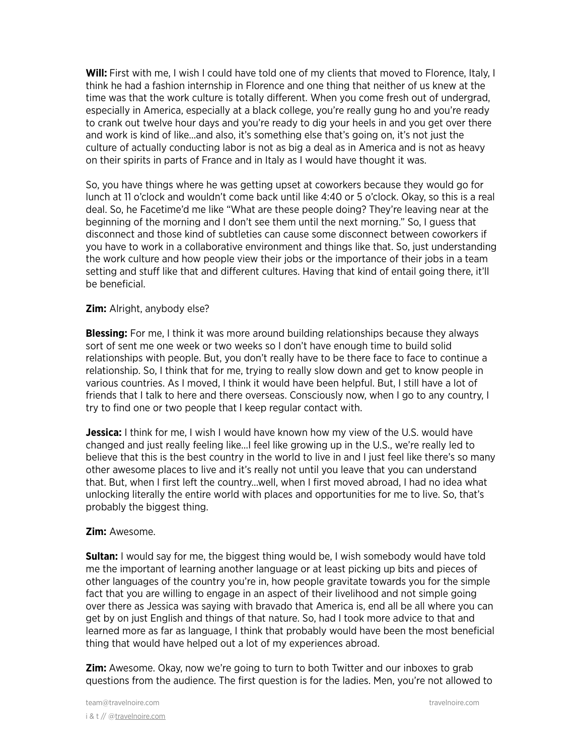**Will:** First with me, I wish I could have told one of my clients that moved to Florence, Italy, I think he had a fashion internship in Florence and one thing that neither of us knew at the time was that the work culture is totally different. When you come fresh out of undergrad, especially in America, especially at a black college, you're really gung ho and you're ready to crank out twelve hour days and you're ready to dig your heels in and you get over there and work is kind of like…and also, it's something else that's going on, it's not just the culture of actually conducting labor is not as big a deal as in America and is not as heavy on their spirits in parts of France and in Italy as I would have thought it was.

So, you have things where he was getting upset at coworkers because they would go for lunch at 11 o'clock and wouldn't come back until like 4:40 or 5 o'clock. Okay, so this is a real deal. So, he Facetime'd me like "What are these people doing? They're leaving near at the beginning of the morning and I don't see them until the next morning." So, I guess that disconnect and those kind of subtleties can cause some disconnect between coworkers if you have to work in a collaborative environment and things like that. So, just understanding the work culture and how people view their jobs or the importance of their jobs in a team setting and stuff like that and different cultures. Having that kind of entail going there, it'll be beneficial.

#### **Zim:** Alright, anybody else?

**Blessing:** For me, I think it was more around building relationships because they always sort of sent me one week or two weeks so I don't have enough time to build solid relationships with people. But, you don't really have to be there face to face to continue a relationship. So, I think that for me, trying to really slow down and get to know people in various countries. As I moved, I think it would have been helpful. But, I still have a lot of friends that I talk to here and there overseas. Consciously now, when I go to any country, I try to find one or two people that I keep regular contact with.

**Jessica:** I think for me, I wish I would have known how my view of the U.S. would have changed and just really feeling like…I feel like growing up in the U.S., we're really led to believe that this is the best country in the world to live in and I just feel like there's so many other awesome places to live and it's really not until you leave that you can understand that. But, when I first left the country…well, when I first moved abroad, I had no idea what unlocking literally the entire world with places and opportunities for me to live. So, that's probably the biggest thing.

#### **Zim:** Awesome.

**Sultan:** I would say for me, the biggest thing would be, I wish somebody would have told me the important of learning another language or at least picking up bits and pieces of other languages of the country you're in, how people gravitate towards you for the simple fact that you are willing to engage in an aspect of their livelihood and not simple going over there as Jessica was saying with bravado that America is, end all be all where you can get by on just English and things of that nature. So, had I took more advice to that and learned more as far as language, I think that probably would have been the most beneficial thing that would have helped out a lot of my experiences abroad.

**Zim:** Awesome. Okay, now we're going to turn to both Twitter and our inboxes to grab questions from the audience. The first question is for the ladies. Men, you're not allowed to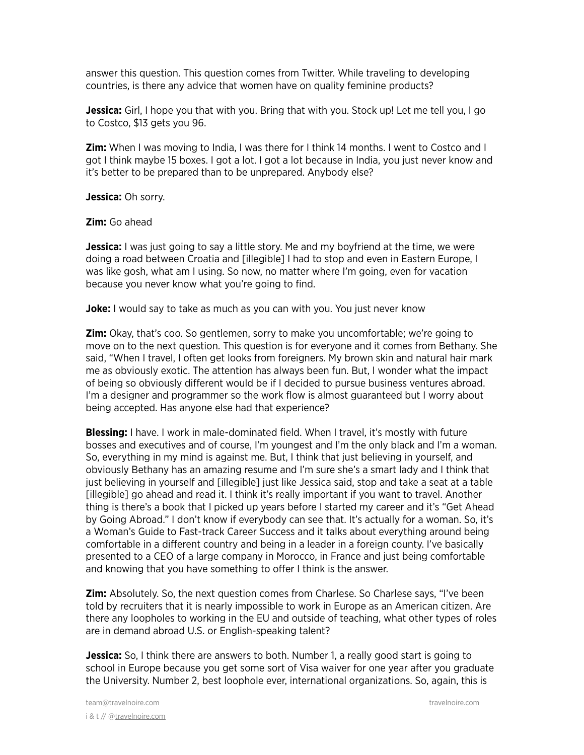answer this question. This question comes from Twitter. While traveling to developing countries, is there any advice that women have on quality feminine products?

**Jessica:** Girl, I hope you that with you. Bring that with you. Stock up! Let me tell you, I go to Costco, \$13 gets you 96.

**Zim:** When I was moving to India, I was there for I think 14 months. I went to Costco and I got I think maybe 15 boxes. I got a lot. I got a lot because in India, you just never know and it's better to be prepared than to be unprepared. Anybody else?

**Jessica:** Oh sorry.

**Zim:** Go ahead

**Jessica:** I was just going to say a little story. Me and my boyfriend at the time, we were doing a road between Croatia and [illegible] I had to stop and even in Eastern Europe, I was like gosh, what am I using. So now, no matter where I'm going, even for vacation because you never know what you're going to find.

**Joke:** I would say to take as much as you can with you. You just never know

**Zim:** Okay, that's coo. So gentlemen, sorry to make you uncomfortable; we're going to move on to the next question. This question is for everyone and it comes from Bethany. She said, "When I travel, I often get looks from foreigners. My brown skin and natural hair mark me as obviously exotic. The attention has always been fun. But, I wonder what the impact of being so obviously different would be if I decided to pursue business ventures abroad. I'm a designer and programmer so the work flow is almost guaranteed but I worry about being accepted. Has anyone else had that experience?

**Blessing:** I have. I work in male-dominated field. When I travel, it's mostly with future bosses and executives and of course, I'm youngest and I'm the only black and I'm a woman. So, everything in my mind is against me. But, I think that just believing in yourself, and obviously Bethany has an amazing resume and I'm sure she's a smart lady and I think that just believing in yourself and [illegible] just like Jessica said, stop and take a seat at a table [illegible] go ahead and read it. I think it's really important if you want to travel. Another thing is there's a book that I picked up years before I started my career and it's "Get Ahead by Going Abroad." I don't know if everybody can see that. It's actually for a woman. So, it's a Woman's Guide to Fast-track Career Success and it talks about everything around being comfortable in a different country and being in a leader in a foreign county. I've basically presented to a CEO of a large company in Morocco, in France and just being comfortable and knowing that you have something to offer I think is the answer.

**Zim:** Absolutely. So, the next question comes from Charlese. So Charlese says, "I've been told by recruiters that it is nearly impossible to work in Europe as an American citizen. Are there any loopholes to working in the EU and outside of teaching, what other types of roles are in demand abroad U.S. or English-speaking talent?

**Jessica:** So, I think there are answers to both. Number 1, a really good start is going to school in Europe because you get some sort of Visa waiver for one year after you graduate the University. Number 2, best loophole ever, international organizations. So, again, this is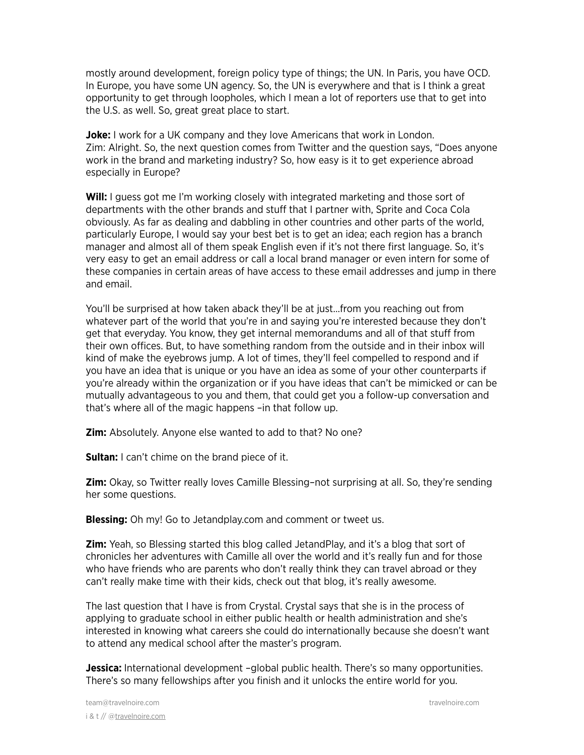mostly around development, foreign policy type of things; the UN. In Paris, you have OCD. In Europe, you have some UN agency. So, the UN is everywhere and that is I think a great opportunity to get through loopholes, which I mean a lot of reporters use that to get into the U.S. as well. So, great great place to start.

**Joke:** I work for a UK company and they love Americans that work in London. Zim: Alright. So, the next question comes from Twitter and the question says, "Does anyone work in the brand and marketing industry? So, how easy is it to get experience abroad especially in Europe?

**Will:** I guess got me I'm working closely with integrated marketing and those sort of departments with the other brands and stuff that I partner with, Sprite and Coca Cola obviously. As far as dealing and dabbling in other countries and other parts of the world, particularly Europe, I would say your best bet is to get an idea; each region has a branch manager and almost all of them speak English even if it's not there first language. So, it's very easy to get an email address or call a local brand manager or even intern for some of these companies in certain areas of have access to these email addresses and jump in there and email.

You'll be surprised at how taken aback they'll be at just…from you reaching out from whatever part of the world that you're in and saying you're interested because they don't get that everyday. You know, they get internal memorandums and all of that stuff from their own offices. But, to have something random from the outside and in their inbox will kind of make the eyebrows jump. A lot of times, they'll feel compelled to respond and if you have an idea that is unique or you have an idea as some of your other counterparts if you're already within the organization or if you have ideas that can't be mimicked or can be mutually advantageous to you and them, that could get you a follow-up conversation and that's where all of the magic happens –in that follow up.

**Zim:** Absolutely. Anyone else wanted to add to that? No one?

**Sultan:** I can't chime on the brand piece of it.

**Zim:** Okay, so Twitter really loves Camille Blessing–not surprising at all. So, they're sending her some questions.

**Blessing:** Oh my! Go to Jetandplay.com and comment or tweet us.

**Zim:** Yeah, so Blessing started this blog called JetandPlay, and it's a blog that sort of chronicles her adventures with Camille all over the world and it's really fun and for those who have friends who are parents who don't really think they can travel abroad or they can't really make time with their kids, check out that blog, it's really awesome.

The last question that I have is from Crystal. Crystal says that she is in the process of applying to graduate school in either public health or health administration and she's interested in knowing what careers she could do internationally because she doesn't want to attend any medical school after the master's program.

**Jessica:** International development –global public health. There's so many opportunities. There's so many fellowships after you finish and it unlocks the entire world for you.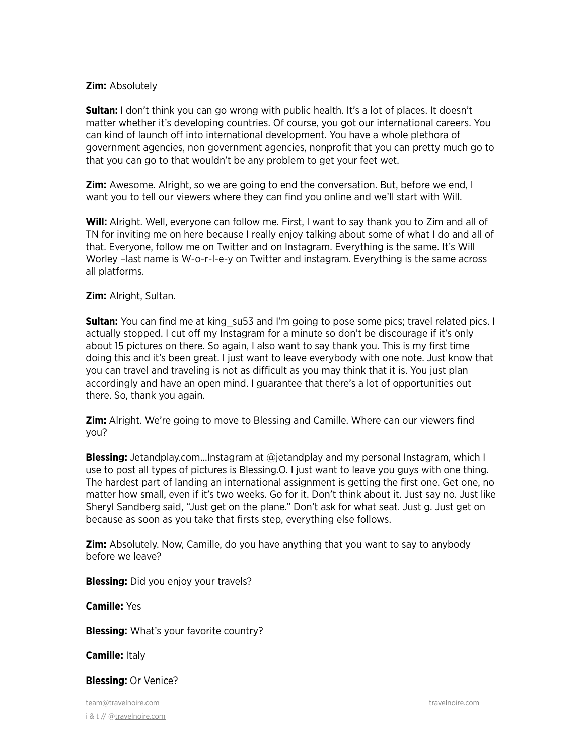### **Zim:** Absolutely

**Sultan:** I don't think you can go wrong with public health. It's a lot of places. It doesn't matter whether it's developing countries. Of course, you got our international careers. You can kind of launch off into international development. You have a whole plethora of government agencies, non government agencies, nonprofit that you can pretty much go to that you can go to that wouldn't be any problem to get your feet wet.

**Zim:** Awesome. Alright, so we are going to end the conversation. But, before we end, I want you to tell our viewers where they can find you online and we'll start with Will.

**Will:** Alright. Well, everyone can follow me. First, I want to say thank you to Zim and all of TN for inviting me on here because I really enjoy talking about some of what I do and all of that. Everyone, follow me on Twitter and on Instagram. Everything is the same. It's Will Worley –last name is W-o-r-l-e-y on Twitter and instagram. Everything is the same across all platforms.

# **Zim:** Alright, Sultan.

**Sultan:** You can find me at king su53 and I'm going to pose some pics; travel related pics. I actually stopped. I cut off my Instagram for a minute so don't be discourage if it's only about 15 pictures on there. So again, I also want to say thank you. This is my first time doing this and it's been great. I just want to leave everybody with one note. Just know that you can travel and traveling is not as difficult as you may think that it is. You just plan accordingly and have an open mind. I guarantee that there's a lot of opportunities out there. So, thank you again.

**Zim:** Alright. We're going to move to Blessing and Camille. Where can our viewers find you?

**Blessing:** Jetandplay.com…Instagram at @jetandplay and my personal Instagram, which I use to post all types of pictures is Blessing.O. I just want to leave you guys with one thing. The hardest part of landing an international assignment is getting the first one. Get one, no matter how small, even if it's two weeks. Go for it. Don't think about it. Just say no. Just like Sheryl Sandberg said, "Just get on the plane." Don't ask for what seat. Just g. Just get on because as soon as you take that firsts step, everything else follows.

**Zim:** Absolutely. Now, Camille, do you have anything that you want to say to anybody before we leave?

**Blessing:** Did you enjoy your travels?

**Camille:** Yes

**Blessing:** What's your favorite country?

**Camille:** Italy

#### **Blessing:** Or Venice?

team@travelnoire.com travelnoire.com i & t // @[travelnoire.com](http://travelnoire.com)